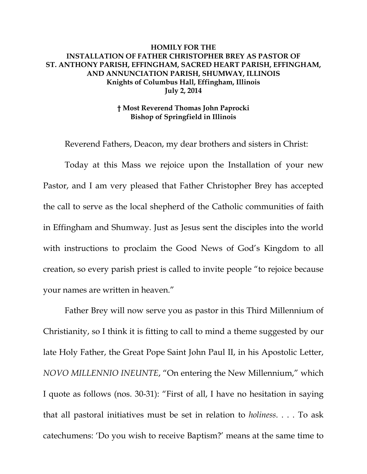## **HOMILY FOR THE INSTALLATION OF FATHER CHRISTOPHER BREY AS PASTOR OF ST. ANTHONY PARISH, EFFINGHAM, SACRED HEART PARISH, EFFINGHAM, AND ANNUNCIATION PARISH, SHUMWAY, ILLINOIS Knights of Columbus Hall, Effingham, Illinois July 2, 2014**

## **† Most Reverend Thomas John Paprocki Bishop of Springfield in Illinois**

Reverend Fathers, Deacon, my dear brothers and sisters in Christ:

Today at this Mass we rejoice upon the Installation of your new Pastor, and I am very pleased that Father Christopher Brey has accepted the call to serve as the local shepherd of the Catholic communities of faith in Effingham and Shumway. Just as Jesus sent the disciples into the world with instructions to proclaim the Good News of God's Kingdom to all creation, so every parish priest is called to invite people "to rejoice because your names are written in heaven."

Father Brey will now serve you as pastor in this Third Millennium of Christianity, so I think it is fitting to call to mind a theme suggested by our late Holy Father, the Great Pope Saint John Paul II, in his Apostolic Letter, *NOVO MILLENNIO INEUNTE*, "On entering the New Millennium," which I quote as follows (nos. 30-31): "First of all, I have no hesitation in saying that all pastoral initiatives must be set in relation to *holiness*. . . . To ask catechumens: 'Do you wish to receive Baptism?' means at the same time to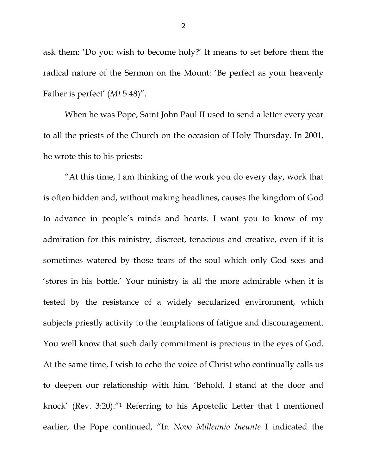ask them: 'Do you wish to become holy?' It means to set before them the radical nature of the Sermon on the Mount: 'Be perfect as your heavenly Father is perfect' (*Mt* 5:48)".

When he was Pope, Saint John Paul II used to send a letter every year to all the priests of the Church on the occasion of Holy Thursday. In 2001, he wrote this to his priests:

"At this time, I am thinking of the work you do every day, work that is often hidden and, without making headlines, causes the kingdom of God to advance in people's minds and hearts. I want you to know of my admiration for this ministry, discreet, tenacious and creative, even if it is sometimes watered by those tears of the soul which only God sees and 'stores in his bottle.' Your ministry is all the more admirable when it is tested by the resistance of a widely secularized environment, which subjects priestly activity to the temptations of fatigue and discouragement. You well know that such daily commitment is precious in the eyes of God. At the same time, I wish to echo the voice of Christ who continually calls us to deepen our relationship with him. 'Behold, I stand at the door and knock' (Rev. 3:20)."1 Referring to his Apostolic Letter that I mentioned earlier, the Pope continued, "In *Novo Millennio Ineunte* I indicated the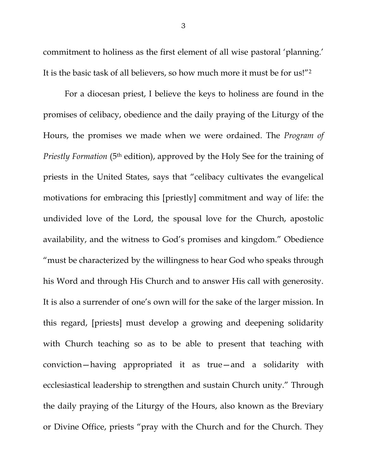commitment to holiness as the first element of all wise pastoral 'planning.' It is the basic task of all believers, so how much more it must be for us!"2

For a diocesan priest, I believe the keys to holiness are found in the promises of celibacy, obedience and the daily praying of the Liturgy of the Hours, the promises we made when we were ordained. The *Program of Priestly Formation* (5<sup>th</sup> edition), approved by the Holy See for the training of priests in the United States, says that "celibacy cultivates the evangelical motivations for embracing this [priestly] commitment and way of life: the undivided love of the Lord, the spousal love for the Church, apostolic availability, and the witness to God's promises and kingdom." Obedience "must be characterized by the willingness to hear God who speaks through his Word and through His Church and to answer His call with generosity. It is also a surrender of one's own will for the sake of the larger mission. In this regard, [priests] must develop a growing and deepening solidarity with Church teaching so as to be able to present that teaching with conviction—having appropriated it as true—and a solidarity with ecclesiastical leadership to strengthen and sustain Church unity." Through the daily praying of the Liturgy of the Hours, also known as the Breviary or Divine Office, priests "pray with the Church and for the Church. They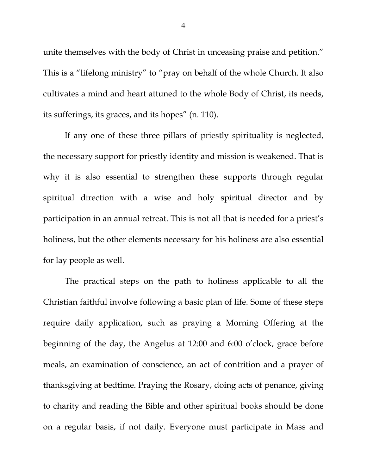unite themselves with the body of Christ in unceasing praise and petition." This is a "lifelong ministry" to "pray on behalf of the whole Church. It also cultivates a mind and heart attuned to the whole Body of Christ, its needs, its sufferings, its graces, and its hopes" (n. 110).

 If any one of these three pillars of priestly spirituality is neglected, the necessary support for priestly identity and mission is weakened. That is why it is also essential to strengthen these supports through regular spiritual direction with a wise and holy spiritual director and by participation in an annual retreat. This is not all that is needed for a priest's holiness, but the other elements necessary for his holiness are also essential for lay people as well.

 The practical steps on the path to holiness applicable to all the Christian faithful involve following a basic plan of life. Some of these steps require daily application, such as praying a Morning Offering at the beginning of the day, the Angelus at 12:00 and 6:00 o'clock, grace before meals, an examination of conscience, an act of contrition and a prayer of thanksgiving at bedtime. Praying the Rosary, doing acts of penance, giving to charity and reading the Bible and other spiritual books should be done on a regular basis, if not daily. Everyone must participate in Mass and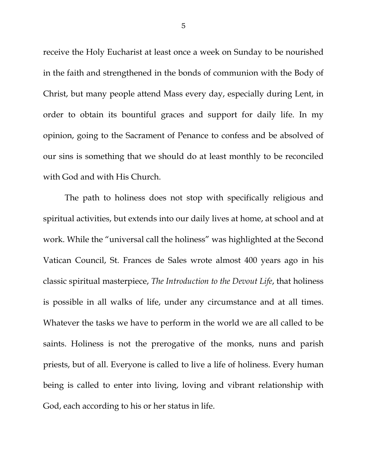receive the Holy Eucharist at least once a week on Sunday to be nourished in the faith and strengthened in the bonds of communion with the Body of Christ, but many people attend Mass every day, especially during Lent, in order to obtain its bountiful graces and support for daily life. In my opinion, going to the Sacrament of Penance to confess and be absolved of our sins is something that we should do at least monthly to be reconciled with God and with His Church.

 The path to holiness does not stop with specifically religious and spiritual activities, but extends into our daily lives at home, at school and at work. While the "universal call the holiness" was highlighted at the Second Vatican Council, St. Frances de Sales wrote almost 400 years ago in his classic spiritual masterpiece, *The Introduction to the Devout Life*, that holiness is possible in all walks of life, under any circumstance and at all times. Whatever the tasks we have to perform in the world we are all called to be saints. Holiness is not the prerogative of the monks, nuns and parish priests, but of all. Everyone is called to live a life of holiness. Every human being is called to enter into living, loving and vibrant relationship with God, each according to his or her status in life.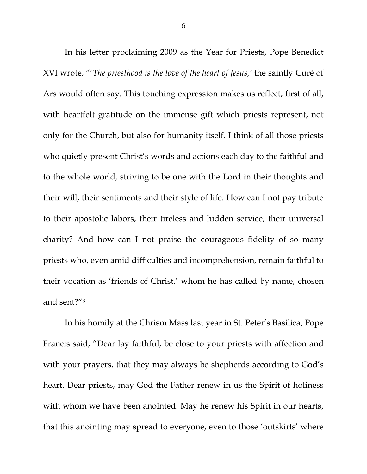In his letter proclaiming 2009 as the Year for Priests, Pope Benedict XVI wrote, "'*The priesthood is the love of the heart of Jesus,'* the saintly Curé of Ars would often say. This touching expression makes us reflect, first of all, with heartfelt gratitude on the immense gift which priests represent, not only for the Church, but also for humanity itself. I think of all those priests who quietly present Christ's words and actions each day to the faithful and to the whole world, striving to be one with the Lord in their thoughts and their will, their sentiments and their style of life. How can I not pay tribute to their apostolic labors, their tireless and hidden service, their universal charity? And how can I not praise the courageous fidelity of so many priests who, even amid difficulties and incomprehension, remain faithful to their vocation as 'friends of Christ,' whom he has called by name, chosen and sent?"3

In his homily at the Chrism Mass last year in St. Peter's Basilica, Pope Francis said, "Dear lay faithful, be close to your priests with affection and with your prayers, that they may always be shepherds according to God's heart. Dear priests, may God the Father renew in us the Spirit of holiness with whom we have been anointed. May he renew his Spirit in our hearts, that this anointing may spread to everyone, even to those 'outskirts' where